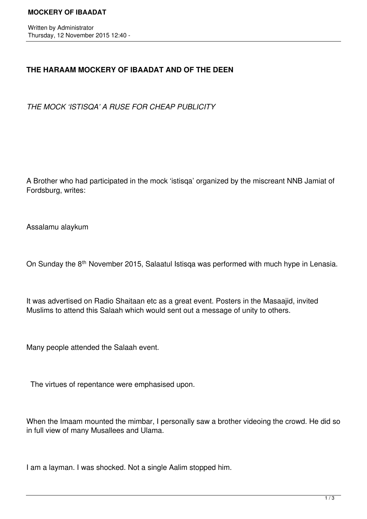Written by Administrator Thursday, 12 November 2015 12:40 -

## **THE HARAAM MOCKERY OF IBAADAT AND OF THE DEEN**

*THE MOCK 'ISTISQA' A RUSE FOR CHEAP PUBLICITY*

A Brother who had participated in the mock 'istisqa' organized by the miscreant NNB Jamiat of Fordsburg, writes:

Assalamu alaykum

On Sunday the 8<sup>th</sup> November 2015, Salaatul Istisqa was performed with much hype in Lenasia.

It was advertised on Radio Shaitaan etc as a great event. Posters in the Masaajid, invited Muslims to attend this Salaah which would sent out a message of unity to others.

Many people attended the Salaah event.

The virtues of repentance were emphasised upon.

When the Imaam mounted the mimbar, I personally saw a brother videoing the crowd. He did so in full view of many Musallees and Ulama.

I am a layman. I was shocked. Not a single Aalim stopped him.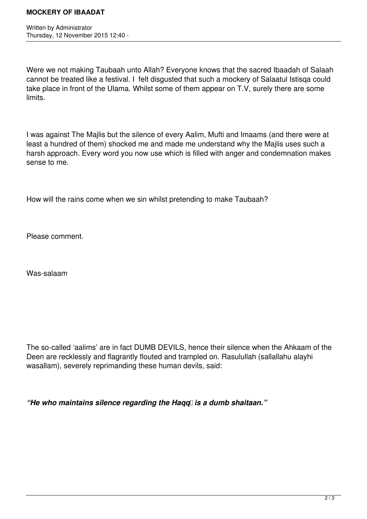Written by Administrator Thursday, 12 November 2015 12:40 -

Were we not making Taubaah unto Allah? Everyone knows that the sacred Ibaadah of Salaah cannot be treated like a festival. I felt disgusted that such a mockery of Salaatul Istisqa could take place in front of the Ulama. Whilst some of them appear on T.V, surely there are some limits.

I was against The Majlis but the silence of every Aalim, Mufti and Imaams (and there were at least a hundred of them) shocked me and made me understand why the Majlis uses such a harsh approach. Every word you now use which is filled with anger and condemnation makes sense to me.

How will the rains come when we sin whilst pretending to make Taubaah?

Please comment.

Was-salaam

The so-called 'aalims' are in fact DUMB DEVILS, hence their silence when the Ahkaam of the Deen are recklessly and flagrantly flouted and trampled on. Rasulullah (sallallahu alayhi wasallam), severely reprimanding these human devils, said:

"He who maintains silence regarding the Hagq **is a dumb shaitaan.**"